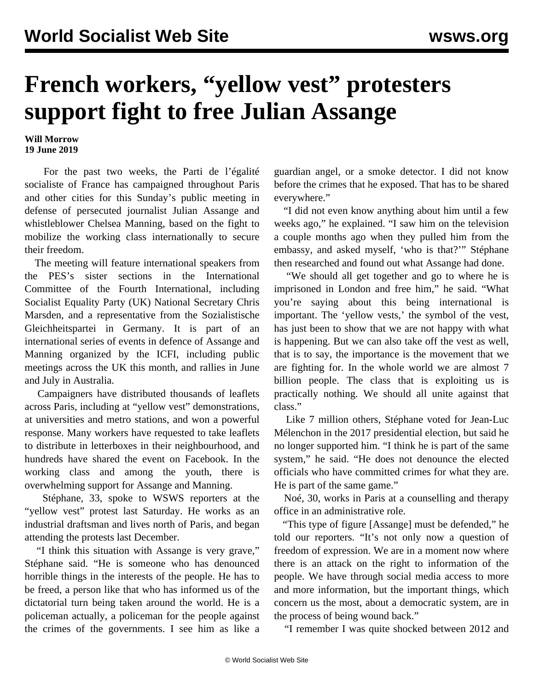## **French workers, "yellow vest" protesters support fight to free Julian Assange**

## **Will Morrow 19 June 2019**

 For the past two weeks, the Parti de l'égalité socialiste of France has campaigned throughout Paris and other cities for this Sunday's public meeting in defense of persecuted journalist Julian Assange and whistleblower Chelsea Manning, based on the fight to mobilize the working class internationally to secure their freedom.

 The meeting will feature international speakers from the PES's sister sections in the International Committee of the Fourth International, including Socialist Equality Party (UK) National Secretary Chris Marsden, and a representative from the Sozialistische Gleichheitspartei in Germany. It is part of an international series of events in defence of Assange and Manning organized by the ICFI, including public meetings across the UK this month, and rallies in June and July in Australia.

 Campaigners have distributed thousands of leaflets across Paris, including at "yellow vest" demonstrations, at universities and metro stations, and won a powerful response. Many workers have requested to take leaflets to distribute in letterboxes in their neighbourhood, and hundreds have shared the event on Facebook. In the working class and among the youth, there is overwhelming support for Assange and Manning.

 Stéphane, 33, spoke to WSWS reporters at the "yellow vest" protest last Saturday. He works as an industrial draftsman and lives north of Paris, and began attending the protests last December.

 "I think this situation with Assange is very grave," Stéphane said. "He is someone who has denounced horrible things in the interests of the people. He has to be freed, a person like that who has informed us of the dictatorial turn being taken around the world. He is a policeman actually, a policeman for the people against the crimes of the governments. I see him as like a

guardian angel, or a smoke detector. I did not know before the crimes that he exposed. That has to be shared everywhere."

 "I did not even know anything about him until a few weeks ago," he explained. "I saw him on the television a couple months ago when they pulled him from the embassy, and asked myself, 'who is that?'" Stéphane then researched and found out what Assange had done.

 "We should all get together and go to where he is imprisoned in London and free him," he said. "What you're saying about this being international is important. The 'yellow vests,' the symbol of the vest, has just been to show that we are not happy with what is happening. But we can also take off the vest as well, that is to say, the importance is the movement that we are fighting for. In the whole world we are almost 7 billion people. The class that is exploiting us is practically nothing. We should all unite against that class."

 Like 7 million others, Stéphane voted for Jean-Luc Mélenchon in the 2017 presidential election, but said he no longer supported him. "I think he is part of the same system," he said. "He does not denounce the elected officials who have committed crimes for what they are. He is part of the same game."

 Noé, 30, works in Paris at a counselling and therapy office in an administrative role.

 "This type of figure [Assange] must be defended," he told our reporters. "It's not only now a question of freedom of expression. We are in a moment now where there is an attack on the right to information of the people. We have through social media access to more and more information, but the important things, which concern us the most, about a democratic system, are in the process of being wound back."

"I remember I was quite shocked between 2012 and